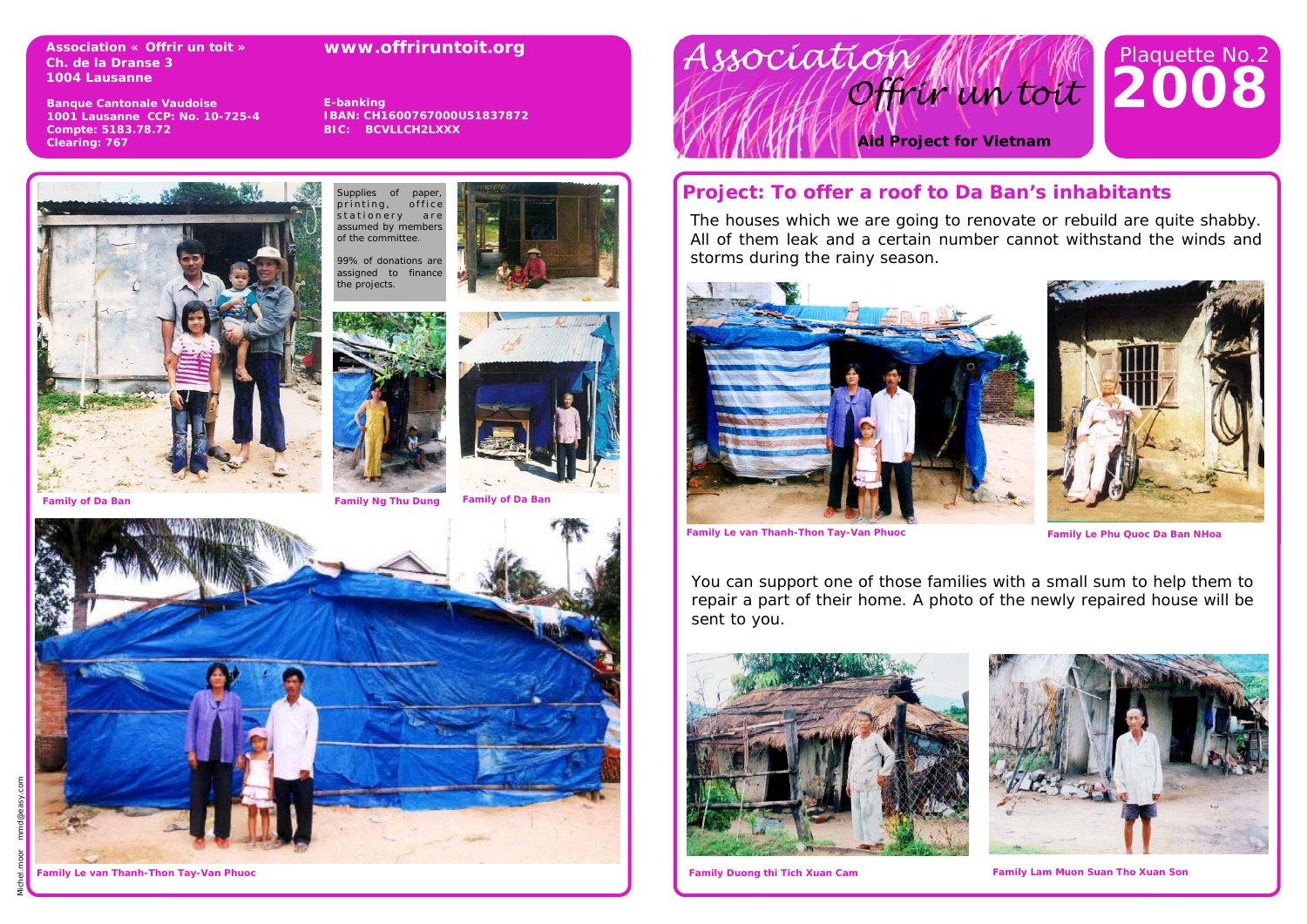**Association « Offrir un toit » Ch. de la Dranse 3 1004 Lausanne** 

#### **www.offriruntoit.org**

**Banque Cantonale Vaudoise 1001 Lausanne CCP: No. 10-725-4 Compte: 5183.78.72 Clearing: 767** 

**E-banking IBAN: CH1600767000U51837872 BIC: BCVLLCH2LXXX** 

upplies of paper printing, office stationery are<br>assumed by members of the committee. 99% of donations are assigned to finance he projects.







**Family of Da Ban Family Ng Thu Dung Family of Da Ban** 



Michel.moor mmd@easy.com

Association Offrir un toit

# **2008**  Plaquette No.2

**Aid Project for Vietnam** 

## **Project: To offer a roof to Da Ban's inhabitants**

The houses which we are going to renovate or rebuild are quite shabby. All of them leak and a certain number cannot withstand the winds and storms during the rainy season.





**Family Le van Thanh-Thon Tay-Van Phuoc Family Le Phu Quoc Da Ban NHoa**

You can support one of those families with a small sum to help them to repair a part of their home. A photo of the newly repaired house will be sent to you.





**Family Duong thi Tich Xuan Cam** 

**Family Le van Thanh-Thon Tay-Van Phuoc Family Lam Muon Suan Tho Xuan Son**